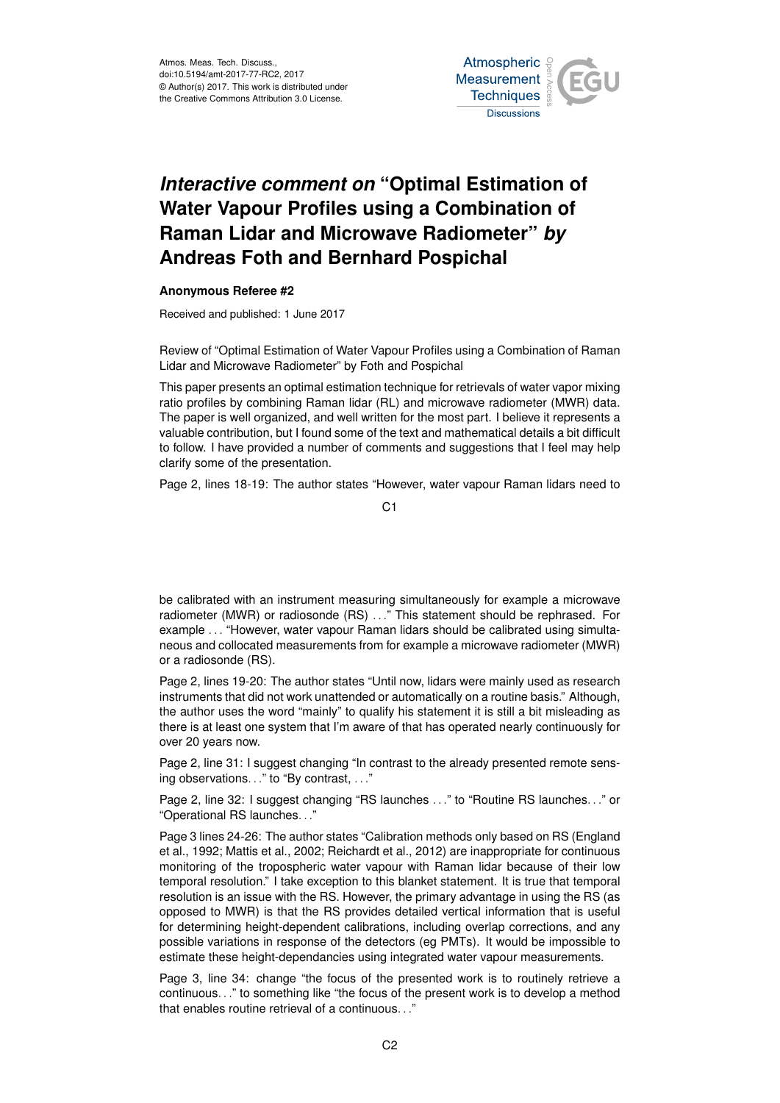Atmos. Meas. Tech. Discuss., doi:10.5194/amt-2017-77-RC2, 2017 © Author(s) 2017. This work is distributed under the Creative Commons Attribution 3.0 License.



## *Interactive comment on* **"Optimal Estimation of Water Vapour Profiles using a Combination of Raman Lidar and Microwave Radiometer"** *by* **Andreas Foth and Bernhard Pospichal**

## **Anonymous Referee #2**

Received and published: 1 June 2017

Review of "Optimal Estimation of Water Vapour Profiles using a Combination of Raman Lidar and Microwave Radiometer" by Foth and Pospichal

This paper presents an optimal estimation technique for retrievals of water vapor mixing ratio profiles by combining Raman lidar (RL) and microwave radiometer (MWR) data. The paper is well organized, and well written for the most part. I believe it represents a valuable contribution, but I found some of the text and mathematical details a bit difficult to follow. I have provided a number of comments and suggestions that I feel may help clarify some of the presentation.

Page 2, lines 18-19: The author states "However, water vapour Raman lidars need to

C<sub>1</sub>

be calibrated with an instrument measuring simultaneously for example a microwave radiometer (MWR) or radiosonde (RS) . . ." This statement should be rephrased. For example . . . "However, water vapour Raman lidars should be calibrated using simultaneous and collocated measurements from for example a microwave radiometer (MWR) or a radiosonde (RS).

Page 2, lines 19-20: The author states "Until now, lidars were mainly used as research instruments that did not work unattended or automatically on a routine basis." Although, the author uses the word "mainly" to qualify his statement it is still a bit misleading as there is at least one system that I'm aware of that has operated nearly continuously for over 20 years now.

Page 2, line 31: I suggest changing "In contrast to the already presented remote sensing observations..." to "By contrast, ..."

Page 2, line 32: I suggest changing "RS launches . . ." to "Routine RS launches. . ." or "Operational RS launches. . ."

Page 3 lines 24-26: The author states "Calibration methods only based on RS (England et al., 1992; Mattis et al., 2002; Reichardt et al., 2012) are inappropriate for continuous monitoring of the tropospheric water vapour with Raman lidar because of their low temporal resolution." I take exception to this blanket statement. It is true that temporal resolution is an issue with the RS. However, the primary advantage in using the RS (as opposed to MWR) is that the RS provides detailed vertical information that is useful for determining height-dependent calibrations, including overlap corrections, and any possible variations in response of the detectors (eg PMTs). It would be impossible to estimate these height-dependancies using integrated water vapour measurements.

Page 3, line 34: change "the focus of the presented work is to routinely retrieve a continuous. . ." to something like "the focus of the present work is to develop a method that enables routine retrieval of a continuous. . ."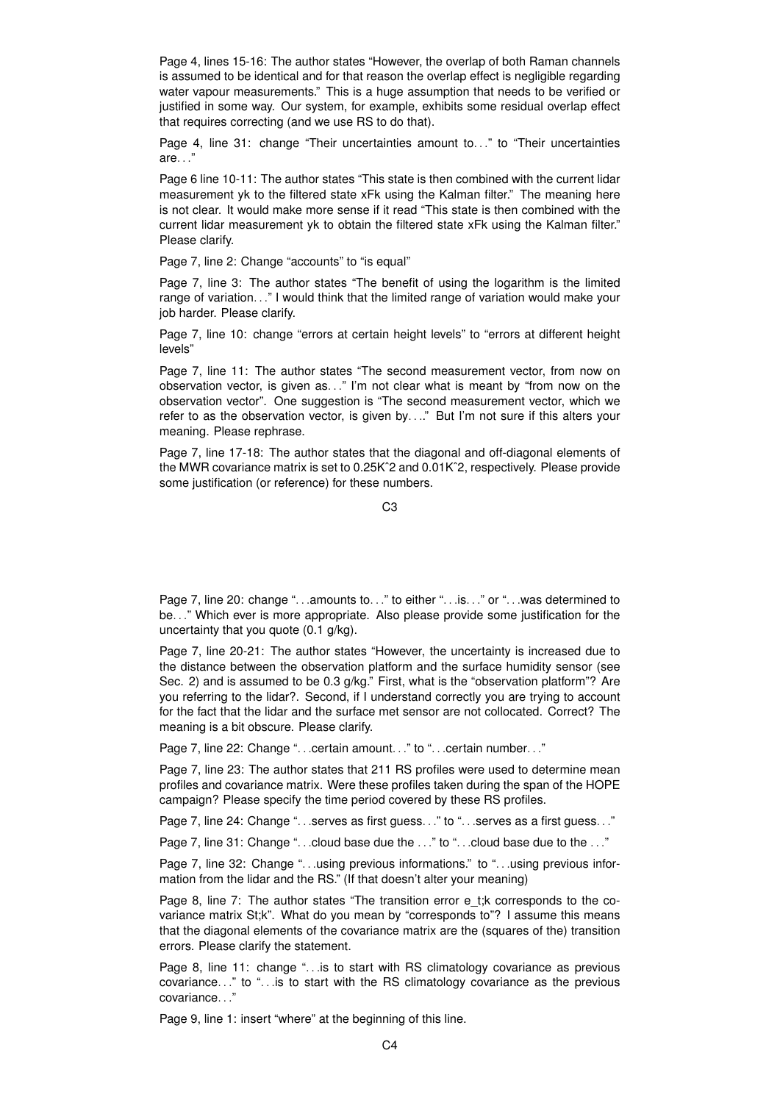Page 4, lines 15-16: The author states "However, the overlap of both Raman channels is assumed to be identical and for that reason the overlap effect is negligible regarding water vapour measurements." This is a huge assumption that needs to be verified or justified in some way. Our system, for example, exhibits some residual overlap effect that requires correcting (and we use RS to do that).

Page 4, line 31: change "Their uncertainties amount to. . ." to "Their uncertainties are. . ."

Page 6 line 10-11: The author states "This state is then combined with the current lidar measurement yk to the filtered state xFk using the Kalman filter." The meaning here is not clear. It would make more sense if it read "This state is then combined with the current lidar measurement yk to obtain the filtered state xFk using the Kalman filter." Please clarify.

Page 7, line 2: Change "accounts" to "is equal"

Page 7, line 3: The author states "The benefit of using the logarithm is the limited range of variation. . ." I would think that the limited range of variation would make your job harder. Please clarify.

Page 7, line 10: change "errors at certain height levels" to "errors at different height levels"

Page 7, line 11: The author states "The second measurement vector, from now on observation vector, is given as. . ." I'm not clear what is meant by "from now on the observation vector". One suggestion is "The second measurement vector, which we refer to as the observation vector, is given by. . .." But I'm not sure if this alters your meaning. Please rephrase.

Page 7, line 17-18: The author states that the diagonal and off-diagonal elements of the MWR covariance matrix is set to 0.25Kˆ2 and 0.01Kˆ2, respectively. Please provide some justification (or reference) for these numbers.

 $C<sub>3</sub>$ 

Page 7, line 20: change "...amounts to..." to either "...is..." or "...was determined to be. . ." Which ever is more appropriate. Also please provide some justification for the uncertainty that you quote (0.1 g/kg).

Page 7, line 20-21: The author states "However, the uncertainty is increased due to the distance between the observation platform and the surface humidity sensor (see Sec. 2) and is assumed to be 0.3 g/kg." First, what is the "observation platform"? Are you referring to the lidar?. Second, if I understand correctly you are trying to account for the fact that the lidar and the surface met sensor are not collocated. Correct? The meaning is a bit obscure. Please clarify.

Page 7, line 22: Change "...certain amount..." to "...certain number..."

Page 7, line 23: The author states that 211 RS profiles were used to determine mean profiles and covariance matrix. Were these profiles taken during the span of the HOPE campaign? Please specify the time period covered by these RS profiles.

Page 7, line 24: Change "...serves as first guess..." to "...serves as a first guess..."

Page 7, line 31: Change "...cloud base due the ..." to "...cloud base due to the ..."

Page 7, line 32: Change "...using previous informations." to "...using previous information from the lidar and the RS." (If that doesn't alter your meaning)

Page 8, line 7: The author states "The transition error e\_t;k corresponds to the covariance matrix St;k". What do you mean by "corresponds to"? I assume this means that the diagonal elements of the covariance matrix are the (squares of the) transition errors. Please clarify the statement.

Page 8, line 11: change "... is to start with RS climatology covariance as previous covariance. . ." to "... is to start with the RS climatology covariance as the previous covariance...

Page 9, line 1: insert "where" at the beginning of this line.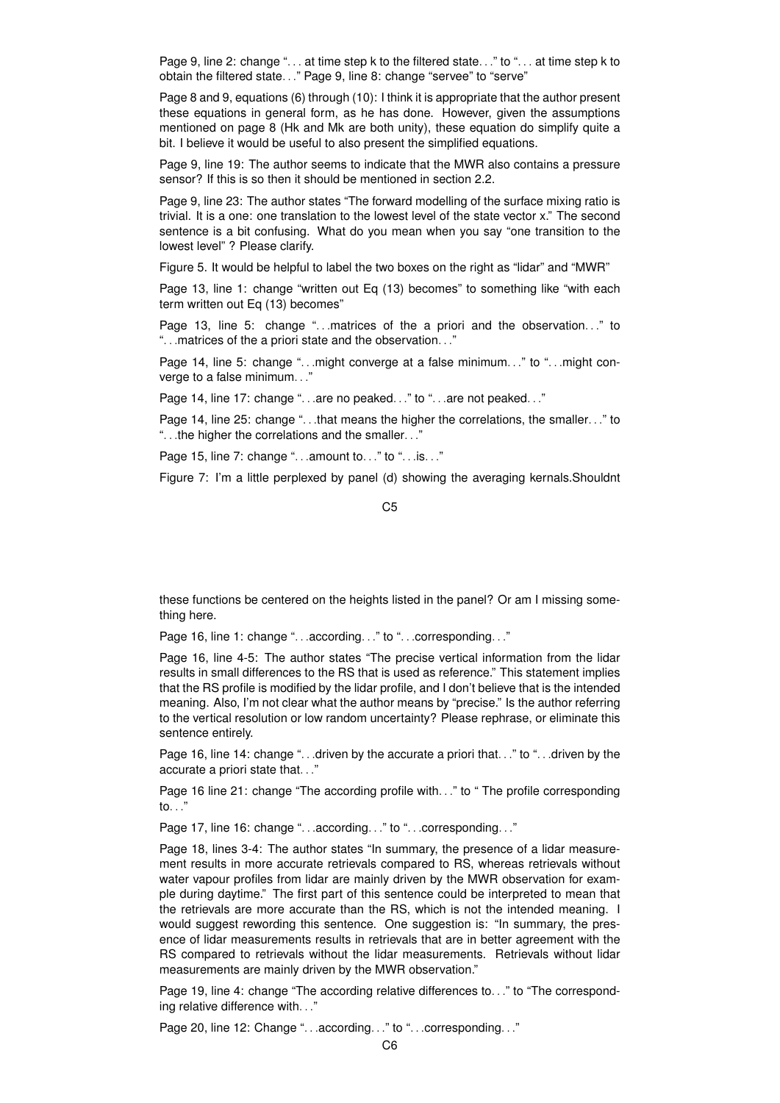Page 9, line 2: change "... at time step k to the filtered state..." to "... at time step k to obtain the filtered state. . ." Page 9, line 8: change "servee" to "serve"

Page 8 and 9, equations (6) through (10): I think it is appropriate that the author present these equations in general form, as he has done. However, given the assumptions mentioned on page 8 (Hk and Mk are both unity), these equation do simplify quite a bit. I believe it would be useful to also present the simplified equations.

Page 9, line 19: The author seems to indicate that the MWR also contains a pressure sensor? If this is so then it should be mentioned in section 2.2.

Page 9, line 23: The author states "The forward modelling of the surface mixing ratio is trivial. It is a one: one translation to the lowest level of the state vector x." The second sentence is a bit confusing. What do you mean when you say "one transition to the lowest level" ? Please clarify.

Figure 5. It would be helpful to label the two boxes on the right as "lidar" and "MWR"

Page 13, line 1: change "written out Eq (13) becomes" to something like "with each term written out Eq (13) becomes"

Page 13, line 5: change "...matrices of the a priori and the observation..." to ". . .matrices of the a priori state and the observation. . ."

Page 14, line 5: change "...might converge at a false minimum..." to "...might converge to a false minimum. . ."

Page 14, line 17: change "...are no peaked..." to "...are not peaked..."

Page 14, line 25: change "...that means the higher the correlations, the smaller..." to ". . .the higher the correlations and the smaller. . ."

Page 15, line 7: change "...amount to..." to "...is..."

Figure 7: I'm a little perplexed by panel (d) showing the averaging kernals.Shouldnt

C5

these functions be centered on the heights listed in the panel? Or am I missing something here.

Page 16, line 1: change "...according..." to "...corresponding..."

Page 16, line 4-5: The author states "The precise vertical information from the lidar results in small differences to the RS that is used as reference." This statement implies that the RS profile is modified by the lidar profile, and I don't believe that is the intended meaning. Also, I'm not clear what the author means by "precise." Is the author referring to the vertical resolution or low random uncertainty? Please rephrase, or eliminate this sentence entirely.

Page 16, line 14: change "...driven by the accurate a priori that..." to "...driven by the accurate a priori state that. . ."

Page 16 line 21: change "The according profile with..." to "The profile corresponding to. . ."

Page 17, line 16: change "...according..." to "...corresponding..."

Page 18, lines 3-4: The author states "In summary, the presence of a lidar measurement results in more accurate retrievals compared to RS, whereas retrievals without water vapour profiles from lidar are mainly driven by the MWR observation for example during daytime." The first part of this sentence could be interpreted to mean that the retrievals are more accurate than the RS, which is not the intended meaning. I would suggest rewording this sentence. One suggestion is: "In summary, the presence of lidar measurements results in retrievals that are in better agreement with the RS compared to retrievals without the lidar measurements. Retrievals without lidar measurements are mainly driven by the MWR observation."

Page 19, line 4: change "The according relative differences to. . ." to "The corresponding relative difference with. . ."

Page 20, line 12: Change "...according..." to "...corresponding..."